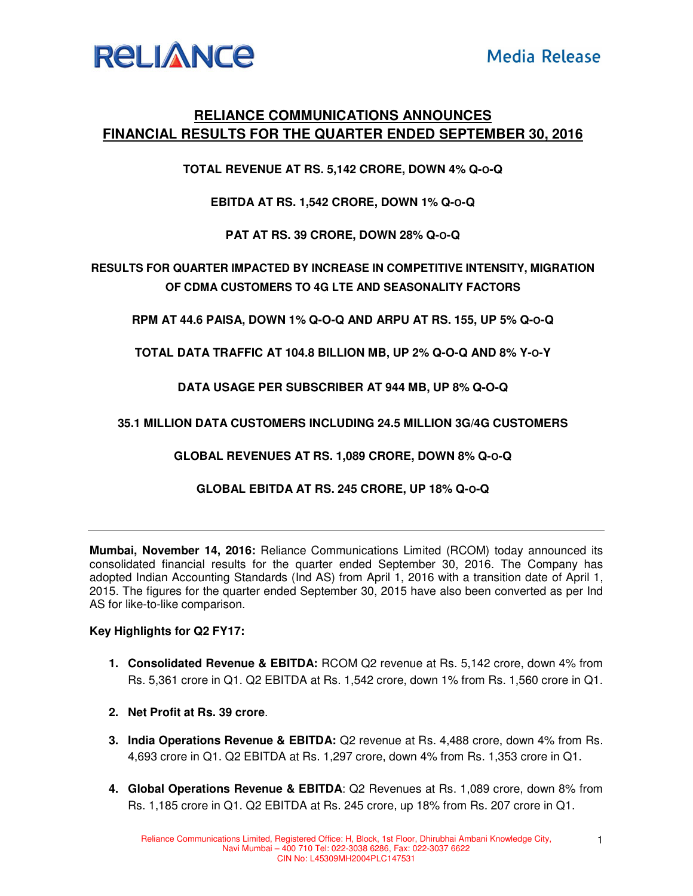

## **RELIANCE COMMUNICATIONS ANNOUNCES FINANCIAL RESULTS FOR THE QUARTER ENDED SEPTEMBER 30, 2016**

**TOTAL REVENUE AT RS. 5,142 CRORE, DOWN 4% Q-O-Q** 

**EBITDA AT RS. 1,542 CRORE, DOWN 1% Q-O-Q** 

**PAT AT RS. 39 CRORE, DOWN 28% Q-O-Q** 

**RESULTS FOR QUARTER IMPACTED BY INCREASE IN COMPETITIVE INTENSITY, MIGRATION OF CDMA CUSTOMERS TO 4G LTE AND SEASONALITY FACTORS**

**RPM AT 44.6 PAISA, DOWN 1% Q-O-Q AND ARPU AT RS. 155, UP 5% Q-O-Q** 

**TOTAL DATA TRAFFIC AT 104.8 BILLION MB, UP 2% Q-O-Q AND 8% Y-O-Y** 

**DATA USAGE PER SUBSCRIBER AT 944 MB, UP 8% Q-O-Q** 

**35.1 MILLION DATA CUSTOMERS INCLUDING 24.5 MILLION 3G/4G CUSTOMERS** 

**GLOBAL REVENUES AT RS. 1,089 CRORE, DOWN 8% Q-O-Q** 

**GLOBAL EBITDA AT RS. 245 CRORE, UP 18% Q-O-Q** 

**Mumbai, November 14, 2016:** Reliance Communications Limited (RCOM) today announced its consolidated financial results for the quarter ended September 30, 2016. The Company has adopted Indian Accounting Standards (Ind AS) from April 1, 2016 with a transition date of April 1, 2015. The figures for the quarter ended September 30, 2015 have also been converted as per Ind AS for like-to-like comparison.

## **Key Highlights for Q2 FY17:**

- **1. Consolidated Revenue & EBITDA:** RCOM Q2 revenue at Rs. 5,142 crore, down 4% from Rs. 5,361 crore in Q1. Q2 EBITDA at Rs. 1,542 crore, down 1% from Rs. 1,560 crore in Q1.
- **2. Net Profit at Rs. 39 crore**.
- **3. India Operations Revenue & EBITDA:** Q2 revenue at Rs. 4,488 crore, down 4% from Rs. 4,693 crore in Q1. Q2 EBITDA at Rs. 1,297 crore, down 4% from Rs. 1,353 crore in Q1.
- **4. Global Operations Revenue & EBITDA**: Q2 Revenues at Rs. 1,089 crore, down 8% from Rs. 1,185 crore in Q1. Q2 EBITDA at Rs. 245 crore, up 18% from Rs. 207 crore in Q1.

1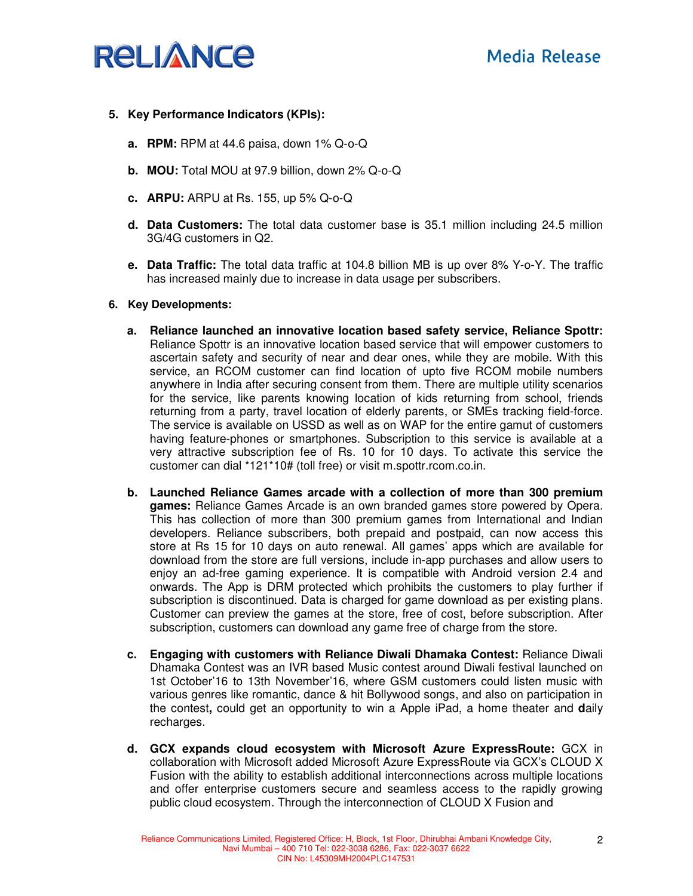

### **5. Key Performance Indicators (KPIs):**

- **a. RPM:** RPM at 44.6 paisa, down 1% Q-o-Q
- **b. MOU:** Total MOU at 97.9 billion, down 2% Q-o-Q
- **c. ARPU:** ARPU at Rs. 155, up 5% Q-o-Q
- **d. Data Customers:** The total data customer base is 35.1 million including 24.5 million 3G/4G customers in Q2.
- **e. Data Traffic:** The total data traffic at 104.8 billion MB is up over 8% Y-o-Y. The traffic has increased mainly due to increase in data usage per subscribers.

#### **6. Key Developments:**

- **a. Reliance launched an innovative location based safety service, Reliance Spottr:** Reliance Spottr is an innovative location based service that will empower customers to ascertain safety and security of near and dear ones, while they are mobile. With this service, an RCOM customer can find location of upto five RCOM mobile numbers anywhere in India after securing consent from them. There are multiple utility scenarios for the service, like parents knowing location of kids returning from school, friends returning from a party, travel location of elderly parents, or SMEs tracking field-force. The service is available on USSD as well as on WAP for the entire gamut of customers having feature-phones or smartphones. Subscription to this service is available at a very attractive subscription fee of Rs. 10 for 10 days. To activate this service the customer can dial \*121\*10# (toll free) or visit m.spottr.rcom.co.in.
- **b. Launched Reliance Games arcade with a collection of more than 300 premium games:** Reliance Games Arcade is an own branded games store powered by Opera. This has collection of more than 300 premium games from International and Indian developers. Reliance subscribers, both prepaid and postpaid, can now access this store at Rs 15 for 10 days on auto renewal. All games' apps which are available for download from the store are full versions, include in-app purchases and allow users to enjoy an ad-free gaming experience. It is compatible with Android version 2.4 and onwards. The App is DRM protected which prohibits the customers to play further if subscription is discontinued. Data is charged for game download as per existing plans. Customer can preview the games at the store, free of cost, before subscription. After subscription, customers can download any game free of charge from the store.
- **c. Engaging with customers with Reliance Diwali Dhamaka Contest:** Reliance Diwali Dhamaka Contest was an IVR based Music contest around Diwali festival launched on 1st October'16 to 13th November'16, where GSM customers could listen music with various genres like romantic, dance & hit Bollywood songs, and also on participation in the contest**,** could get an opportunity to win a Apple iPad, a home theater and **d**aily recharges.
- **d. GCX expands cloud ecosystem with Microsoft Azure ExpressRoute:** GCX in collaboration with Microsoft added Microsoft Azure ExpressRoute via GCX's CLOUD X Fusion with the ability to establish additional interconnections across multiple locations and offer enterprise customers secure and seamless access to the rapidly growing public cloud ecosystem. Through the interconnection of CLOUD X Fusion and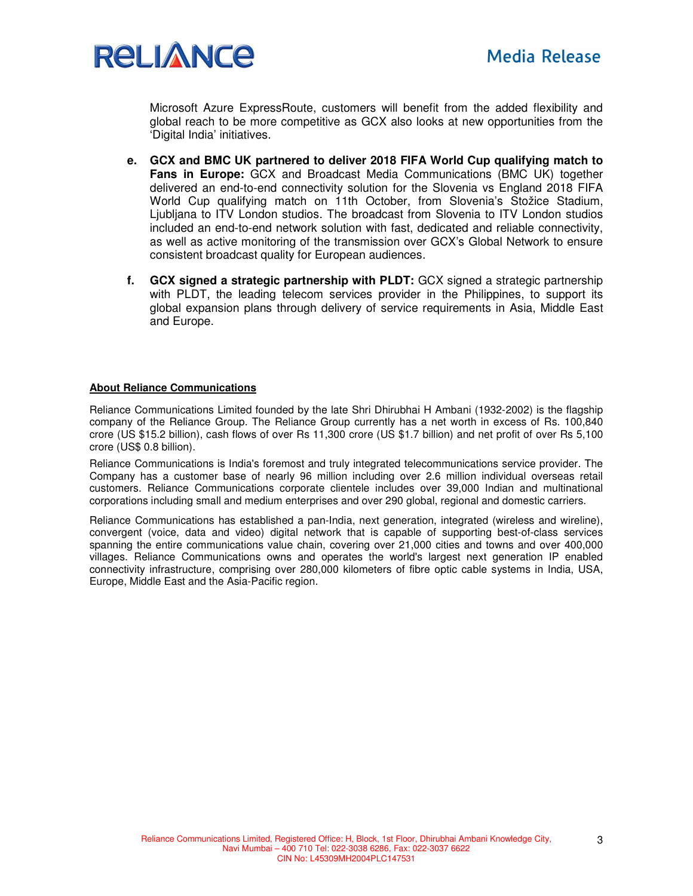

Microsoft Azure ExpressRoute, customers will benefit from the added flexibility and global reach to be more competitive as GCX also looks at new opportunities from the 'Digital India' initiatives.

- **e. GCX and BMC UK partnered to deliver 2018 FIFA World Cup qualifying match to Fans in Europe:** GCX and Broadcast Media Communications (BMC UK) together delivered an end-to-end connectivity solution for the Slovenia vs England 2018 FIFA World Cup qualifying match on 11th October, from Slovenia's Stožice Stadium, Ljubljana to ITV London studios. The broadcast from Slovenia to ITV London studios included an end-to-end network solution with fast, dedicated and reliable connectivity, as well as active monitoring of the transmission over GCX's Global Network to ensure consistent broadcast quality for European audiences.
- **f. GCX signed a strategic partnership with PLDT:** GCX signed a strategic partnership with PLDT, the leading telecom services provider in the Philippines, to support its global expansion plans through delivery of service requirements in Asia, Middle East and Europe.

#### **About Reliance Communications**

Reliance Communications Limited founded by the late Shri Dhirubhai H Ambani (1932-2002) is the flagship company of the Reliance Group. The Reliance Group currently has a net worth in excess of Rs. 100,840 crore (US \$15.2 billion), cash flows of over Rs 11,300 crore (US \$1.7 billion) and net profit of over Rs 5,100 crore (US\$ 0.8 billion).

Reliance Communications is India's foremost and truly integrated telecommunications service provider. The Company has a customer base of nearly 96 million including over 2.6 million individual overseas retail customers. Reliance Communications corporate clientele includes over 39,000 Indian and multinational corporations including small and medium enterprises and over 290 global, regional and domestic carriers.

Reliance Communications has established a pan-India, next generation, integrated (wireless and wireline), convergent (voice, data and video) digital network that is capable of supporting best-of-class services spanning the entire communications value chain, covering over 21,000 cities and towns and over 400,000 villages. Reliance Communications owns and operates the world's largest next generation IP enabled connectivity infrastructure, comprising over 280,000 kilometers of fibre optic cable systems in India, USA, Europe, Middle East and the Asia-Pacific region.

3